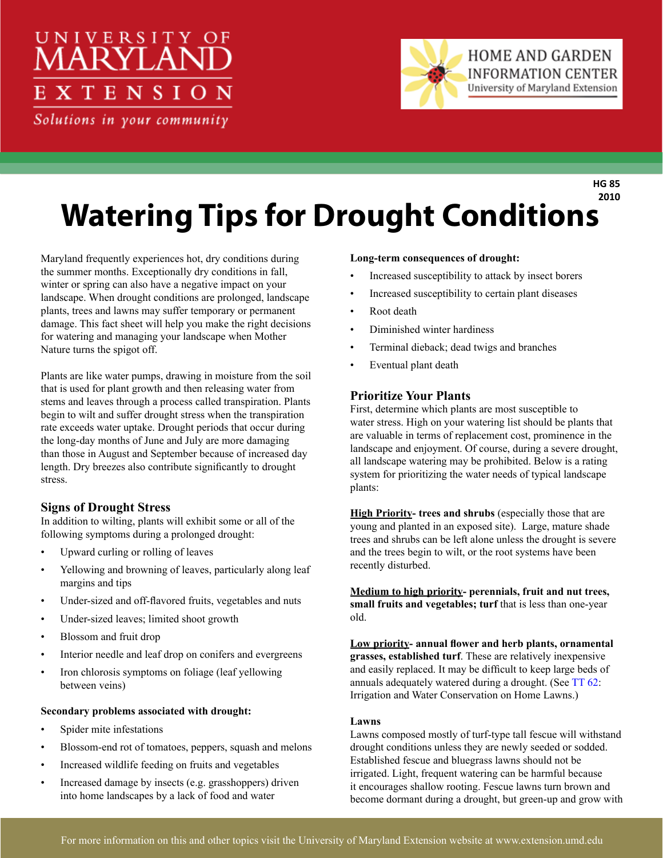# UNIVERSITY OF 'EN

Solutions in your community



**HG 85 2010**

## **Watering Tips for Drought Conditions**

Maryland frequently experiences hot, dry conditions during the summer months. Exceptionally dry conditions in fall, winter or spring can also have a negative impact on your landscape. When drought conditions are prolonged, landscape plants, trees and lawns may suffer temporary or permanent damage. This fact sheet will help you make the right decisions for watering and managing your landscape when Mother Nature turns the spigot off.

Plants are like water pumps, drawing in moisture from the soil that is used for plant growth and then releasing water from stems and leaves through a process called transpiration. Plants begin to wilt and suffer drought stress when the transpiration rate exceeds water uptake. Drought periods that occur during the long-day months of June and July are more damaging than those in August and September because of increased day length. Dry breezes also contribute significantly to drought stress.

## **Signs of Drought Stress**

In addition to wilting, plants will exhibit some or all of the following symptoms during a prolonged drought:

- Upward curling or rolling of leaves
- Yellowing and browning of leaves, particularly along leaf margins and tips
- Under-sized and off-flavored fruits, vegetables and nuts
- Under-sized leaves; limited shoot growth
- Blossom and fruit drop
- Interior needle and leaf drop on conifers and evergreens
- Iron chlorosis symptoms on foliage (leaf yellowing between veins)

#### **Secondary problems associated with drought:**

- Spider mite infestations
- Blossom-end rot of tomatoes, peppers, squash and melons
- Increased wildlife feeding on fruits and vegetables
- Increased damage by insects (e.g. grasshoppers) driven into home landscapes by a lack of food and water

#### **Long-term consequences of drought:**

- Increased susceptibility to attack by insect borers
- Increased susceptibility to certain plant diseases
- Root death
- Diminished winter hardiness
- Terminal dieback; dead twigs and branches
- Eventual plant death

### **Prioritize Your Plants**

First, determine which plants are most susceptible to water stress. High on your watering list should be plants that are valuable in terms of replacement cost, prominence in the landscape and enjoyment. Of course, during a severe drought, all landscape watering may be prohibited. Below is a rating system for prioritizing the water needs of typical landscape plants:

**High Priority- trees and shrubs** (especially those that are young and planted in an exposed site). Large, mature shade trees and shrubs can be left alone unless the drought is severe and the trees begin to wilt, or the root systems have been recently disturbed.

**Medium to high priority- perennials, fruit and nut trees, small fruits and vegetables; turf** that is less than one-year old.

**Low priority- annual flower and herb plants, ornamental grasses, established turf**. These are relatively inexpensive and easily replaced. It may be difficult to keep large beds of annuals adequately watered during a drought. (See [TT 62:](http://www.hgic.umd.edu/content/documents/TT-62.pdf) Irrigation and Water Conservation on Home Lawns.)

#### **Lawns**

Lawns composed mostly of turf-type tall fescue will withstand drought conditions unless they are newly seeded or sodded. Established fescue and bluegrass lawns should not be irrigated. Light, frequent watering can be harmful because it encourages shallow rooting. Fescue lawns turn brown and become dormant during a drought, but green-up and grow with